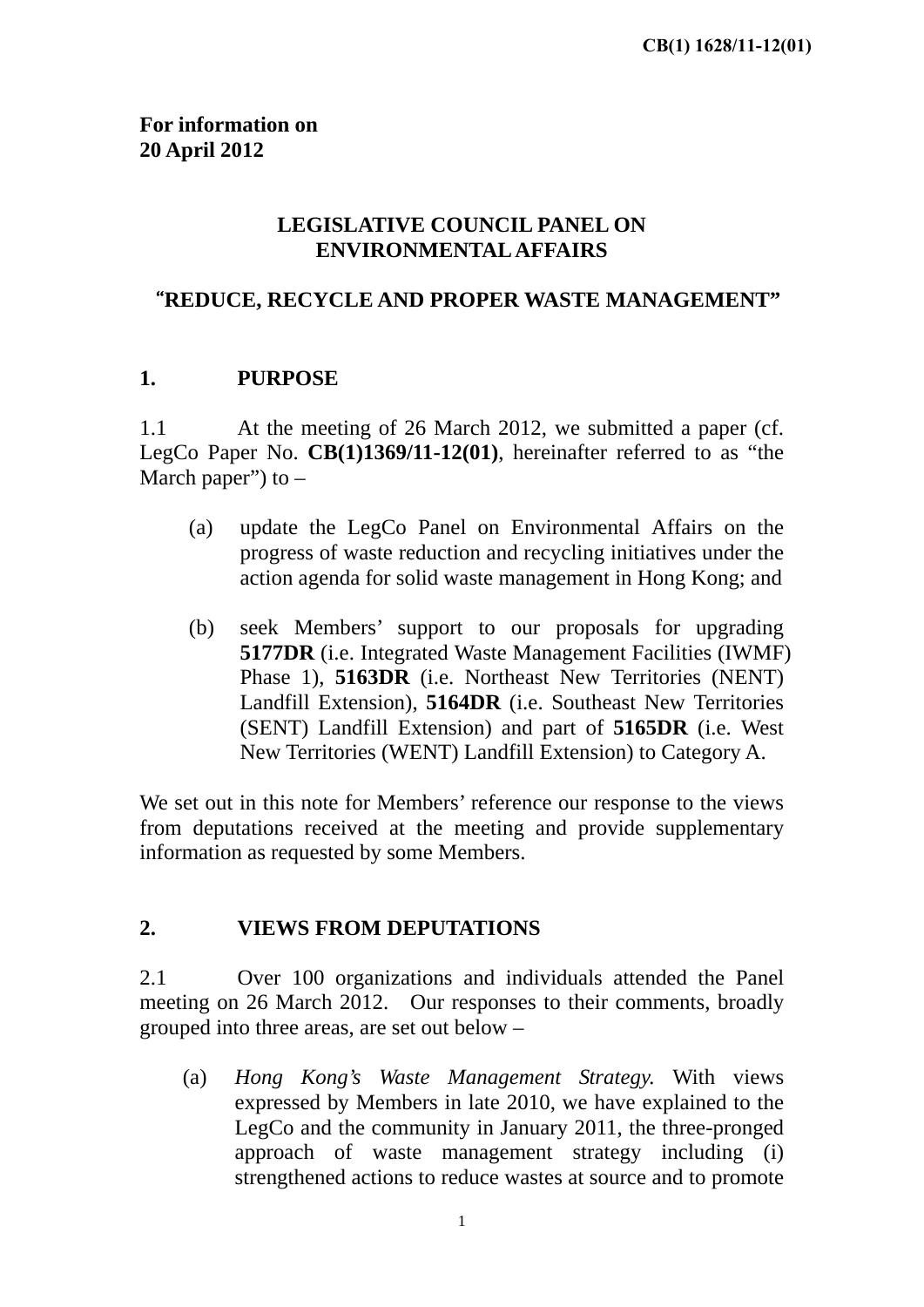### **LEGISLATIVE COUNCIL PANEL ON ENVIRONMENTAL AFFAIRS**

### <span id="page-0-0"></span>"**REDUCE, RECYCLE AND PROPER WASTE MANAGEMENT"**

#### **1. PURPOSE**

1.1 At the meeting of 26 March 2012, we submitted a paper (cf. LegCo Paper No. **CB(1)1369/11-12(01)**, hereinafter referred to as "the March paper") to  $-$ 

- (a) update the LegCo Panel on Environmental Affairs on the progress of waste reduction and recycling initiatives under the action agenda for solid waste management in Hong Kong; and
- (b) seek Members' support to our proposals for upgrading **5177DR** (i.e. Integrated Waste Management Facilities (IWMF) Phase 1), **5163DR** (i.e. Northeast New Territories (NENT) Landfill Extension), **5164DR** (i.e. Southeast New Territories (SENT) Landfill Extension) and part of **5165DR** (i.e. West New Territories (WENT) Landfill Extension) to Category A.

We set out in this note for Members' reference our response to the views from deputations received at the meeting and provide supplementary information as requested by some Members.

### **2. VIEWS FROM DEPUTATIONS**

2.1 Over 100 organizations and individuals attended the Panel meeting on 26 March 2012. Our responses to their comments, broadly grouped into three areas, are set out below –

(a) *Hong Kong's Waste Management Strategy.* With views expressed by Members in late 2010, we have explained to the LegCo and the community in January 2011, the three-pronged approach of waste management strategy including (i) strengthened actions to reduce wastes at source and to promote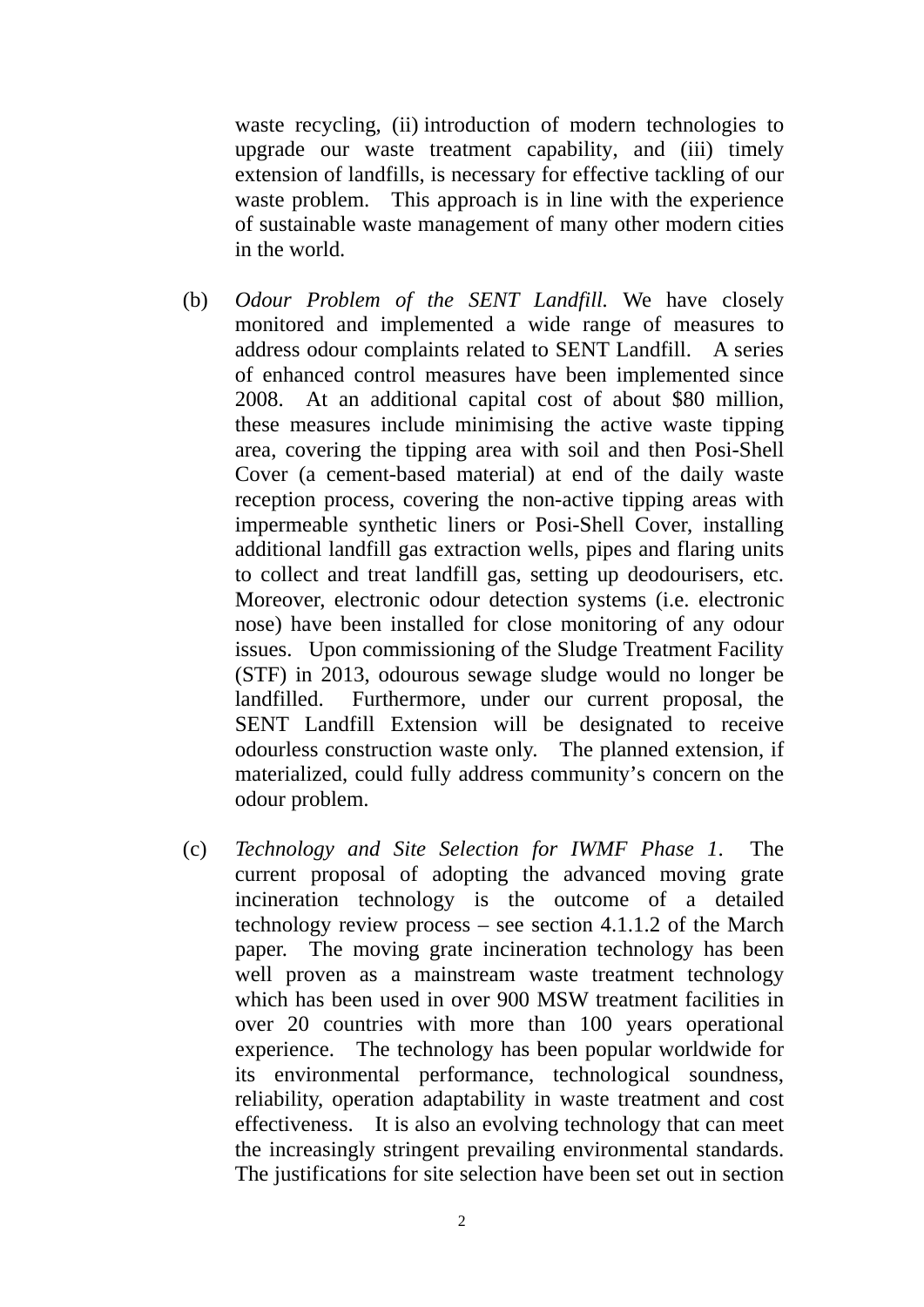waste recycling, (ii) introduction of modern technologies to upgrade our waste treatment capability, and (iii) timely extension of landfills, is necessary for effective tackling of our waste problem. This approach is in line with the experience of sustainable waste management of many other modern cities in the world.

- A series odour problem. (b) *Odour Problem of the SENT Landfill.* We have closely monitored and implemented a wide range of measures to address odour complaints related to SENT Landfill. of enhanced control measures have been implemented since 2008. At an additional capital cost of about \$80 million, these measures include minimising the active waste tipping area, covering the tipping area with soil and then Posi-Shell Cover (a cement-based material) at end of the daily waste reception process, covering the non-active tipping areas with impermeable synthetic liners or Posi-Shell Cover, installing additional landfill gas extraction wells, pipes and flaring units to collect and treat landfill gas, setting up deodourisers, etc. Moreover, electronic odour detection systems (i.e. electronic nose) have been installed for close monitoring of any odour issues. Upon commissioning of the Sludge Treatment Facility (STF) in 2013, odourous sewage sludge would no longer be landfilled. Furthermore, under our current proposal, the SENT Landfill Extension will be designated to receive odourless construction waste only. The planned extension, if materialized, could fully address community's concern on the
- paper. The moving grate incineration technology has been odour problem. (c) *Technology and Site Selection for IWMF Phase 1*. The current proposal of adopting the advanced moving grate incineration technology is the outcome of a detailed technology review process – see section 4.1.1.2 of the March well proven as a mainstream waste treatment technology which has been used in over 900 MSW treatment facilities in over 20 countries with more than 100 years operational experience. The technology has been popular worldwide for its environmental performance, technological soundness, reliability, operation adaptability in waste treatment and cost effectiveness. It is also an evolving technology that can meet the increasingly stringent prevailing environmental standards. The justifications for site selection have been set out in section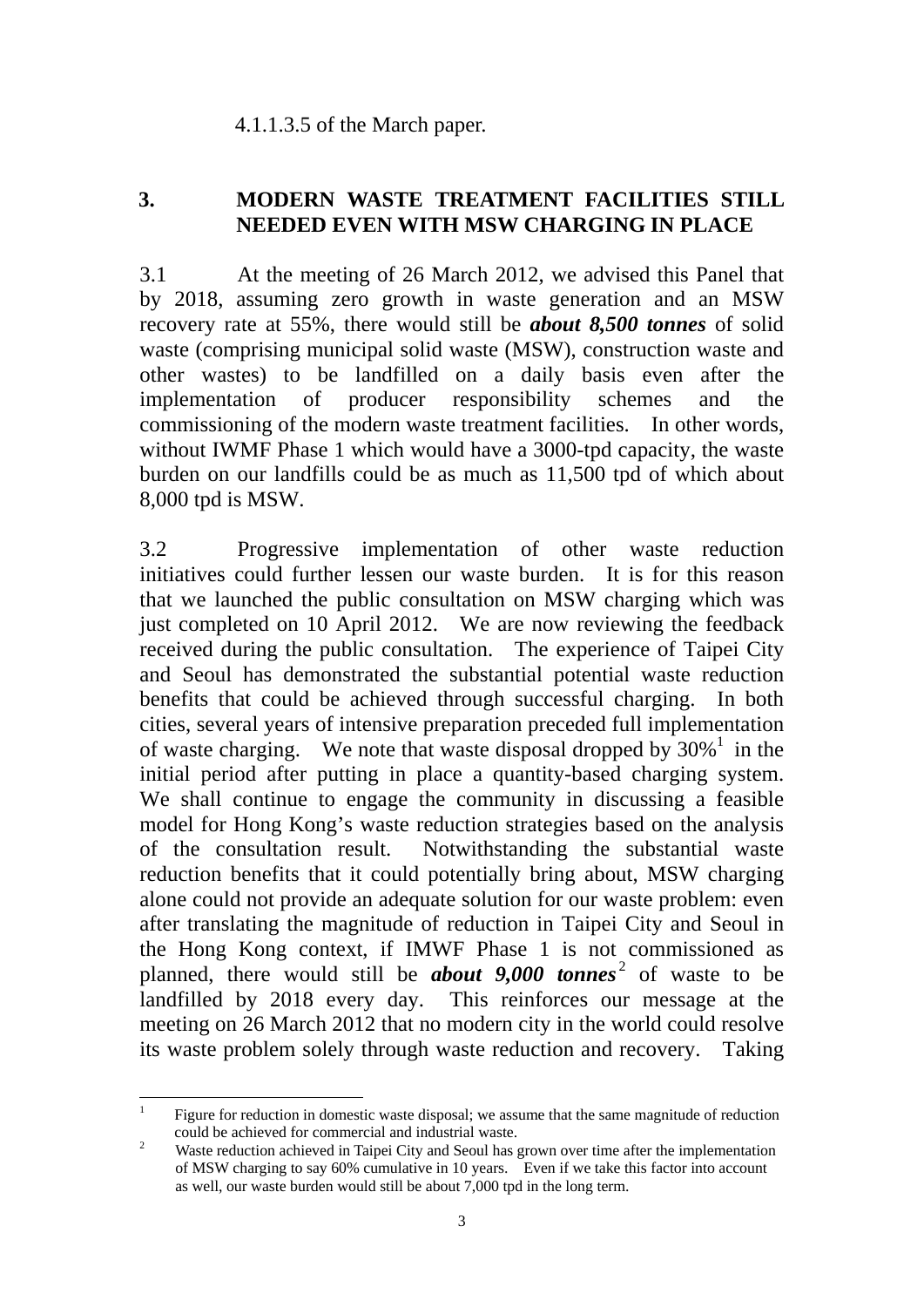#### 4.1.1.3.5 of the March paper.

#### **3. MODERN WASTE TREATMENT FACILITIES STILL NEEDED EVEN WITH MSW CHARGING IN PLACE**

3.1 At the meeting of 26 March 2012, we advised this Panel that by 2018, assuming zero growth in waste generation and an MSW recovery rate at 55%, there would still be *about 8,500 tonnes* of solid waste (comprising municipal solid waste (MSW), construction waste and other wastes) to be landfilled on a daily basis even after the implementation of producer responsibility schemes and the commissioning of the modern waste treatment facilities. In other words, without IWMF Phase 1 which would have a 3000-tpd capacity, the waste burden on our landfills could be as much as 11,500 tpd of which about 8,000 tpd is MSW.

3.2 Progressive implementation of other waste reduction initiatives could further lessen our waste burden. It is for this reason that we launched the public consultation on MSW charging which was just completed on 10 April 2012. We are now reviewing the feedback received during the public consultation. The experience of Taipei City and Seoul has demonstrated the substantial potential waste reduction benefits that could be achieved through successful charging. In both cities, several years of intensive preparation preceded full implementation of waste charging. We note that waste disposal dropped by  $30\%$ <sup>1</sup> in the initial period after putting in place a quantity-based charging system. We shall continue to engage the community in discussing a feasible model for Hong Kong's waste reduction strategies based on the analysis of the consultation result. Notwithstanding the substantial waste reduction benefits that it could potentially bring about, MSW charging alone could not provide an adequate solution for our waste problem: even after translating the magnitude of reduction in Taipei City and Seoul in the Hong Kong context, if IMWF Phase 1 is not commissioned as planned, there would still be *about 9,000 tonnes* 2 of waste to be landfilled by 2018 every day. This reinforces our message at the meeting on 26 March 2012 that no modern city in the world could resolve its waste problem solely through waste reduction and recovery. Taking

<sup>&</sup>lt;u>.</u> 1Figure for reduction in domestic waste disposal; we assume that the same magnitude of reduction could be achieved for commercial and industrial waste.<br>Waste reduction achieved in Taipei City and Seoul has grown over time after the implementation

 of MSW charging to say 60% cumulative in 10 years. Even if we take this factor into account as well, our waste burden would still be about 7,000 tpd in the long term.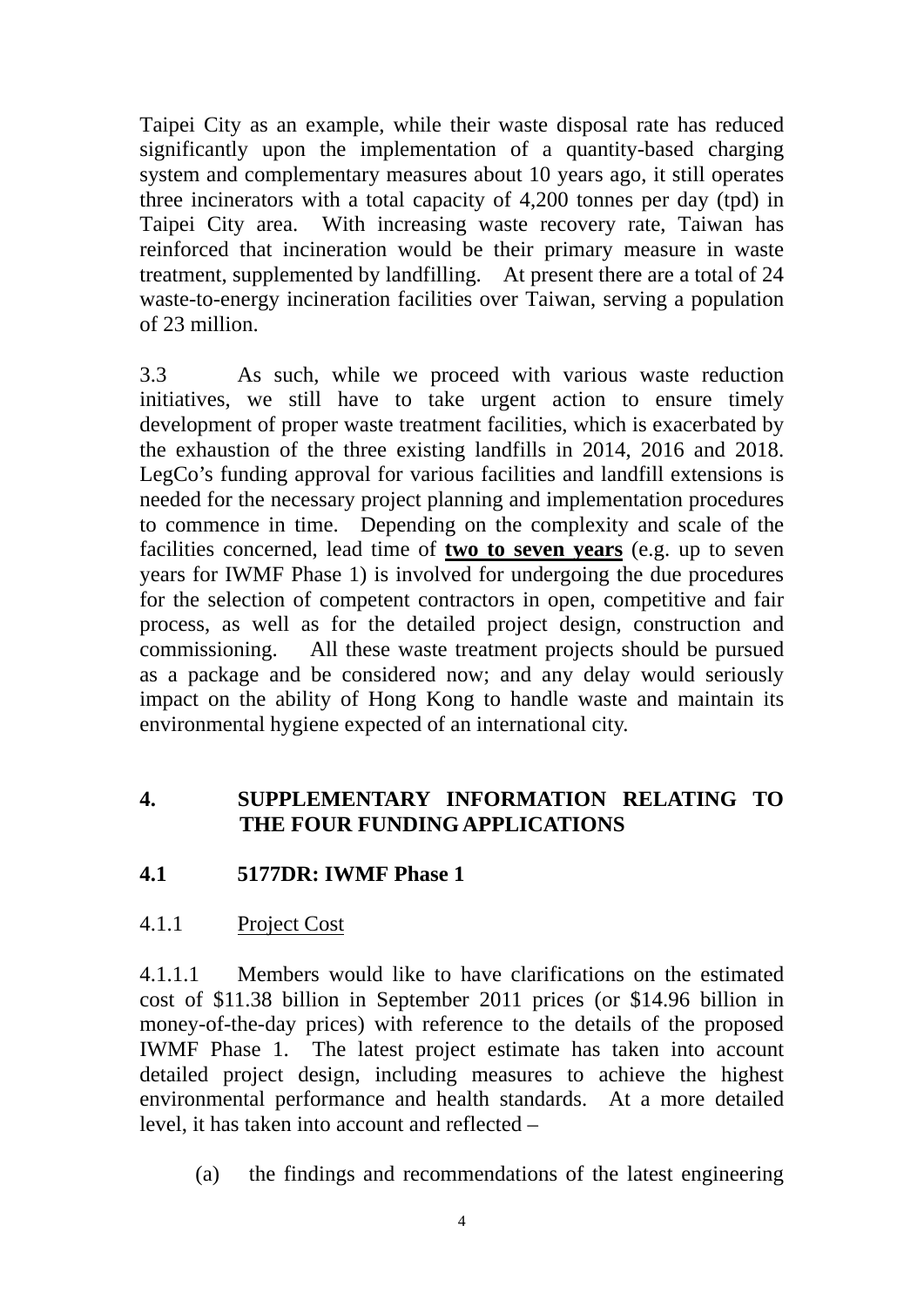Taipei City as an example, while their waste disposal rate has reduced significantly upon the implementation of a quantity-based charging system and complementary measures about 10 years ago, it still operates three incinerators with a total capacity of 4,200 tonnes per day (tpd) in Taipei City area. With increasing waste recovery rate, Taiwan has reinforced that incineration would be their primary measure in waste treatment, supplemented by landfilling. At present there are a total of 24 waste-to-energy incineration facilities over Taiwan, serving a population of 23 million.

3.3 As such, while we proceed with various waste reduction initiatives, we still have to take urgent action to ensure timely development of proper waste treatment facilities, which is exacerbated by the exhaustion of the three existing landfills in 2014, 2016 and 2018. LegCo's funding approval for various facilities and landfill extensions is needed for the necessary project planning and implementation procedures to commence in time. Depending on the complexity and scale of the facilities concerned, lead time of **two to seven years** (e.g. up to seven years for IWMF Phase 1) is involved for undergoing the due procedures for the selection of competent contractors in open, competitive and fair process, as well as for the detailed project design, construction and commissioning. All these waste treatment projects should be pursued as a package and be considered now; and any delay would seriously impact on the ability of Hong Kong to handle waste and maintain its environmental hygiene expected of an international city.

### **4. SUPPLEMENTARY INFORMATION RELATING TO THE FOUR FUNDING APPLICATIONS**

### **4.1 5177DR: IWMF Phase 1**

4.1.1 Project Cost

4.1.1.1 Members would like to have clarifications on the estimated cost of \$11.38 billion in September 2011 prices (or \$14.96 billion in money-of-the-day prices) with reference to the details of the proposed IWMF Phase 1. The latest project estimate has taken into account detailed project design, including measures to achieve the highest environmental performance and health standards. At a more detailed level, it has taken into account and reflected –

(a) the findings and recommendations of the latest engineering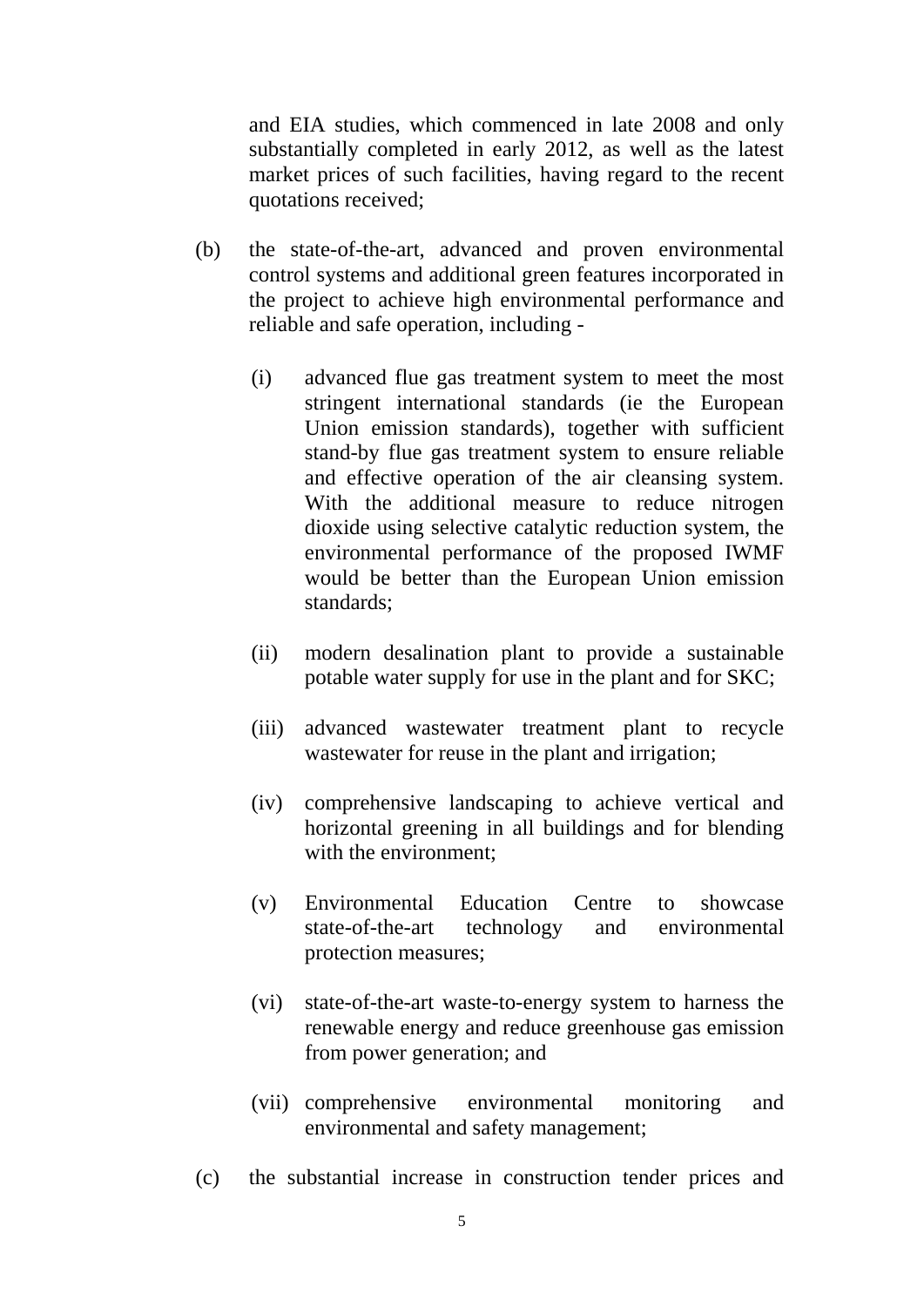and EIA studies, which commenced in late 2008 and only substantially completed in early 2012, as well as the latest market prices of such facilities, having regard to the recent quotations received;

- (b) - reliable and safe operation, including the state-of-the-art, advanced and proven environmental control systems and additional green features incorporated in the project to achieve high environmental performance and
	- (i) advanced flue gas treatment system to meet the most stringent international standards (ie the European Union emission standards), together with sufficient stand-by flue gas treatment system to ensure reliable and effective operation of the air cleansing system. With the additional measure to reduce nitrogen dioxide using selective catalytic reduction system, the environmental performance of the proposed IWMF would be better than the European Union emission standards;
	- (ii) modern desalination plant to provide a sustainable potable water supply for use in the plant and for SKC;
	- (iii) advanced wastewater treatment plant to recycle wastewater for reuse in the plant and irrigation;
	- (iv) comprehensive landscaping to achieve vertical and horizontal greening in all buildings and for blending with the environment;
	- (v) Environmental Education Centre to showcase state-of-the-art technology and environmental protection measures;
	- (vi) state-of-the-art waste-to-energy system to harness the renewable energy and reduce greenhouse gas emission from power generation; and
	- (vii) comprehensive environmental monitoring and environmental and safety management;
- (c) the substantial increase in construction tender prices and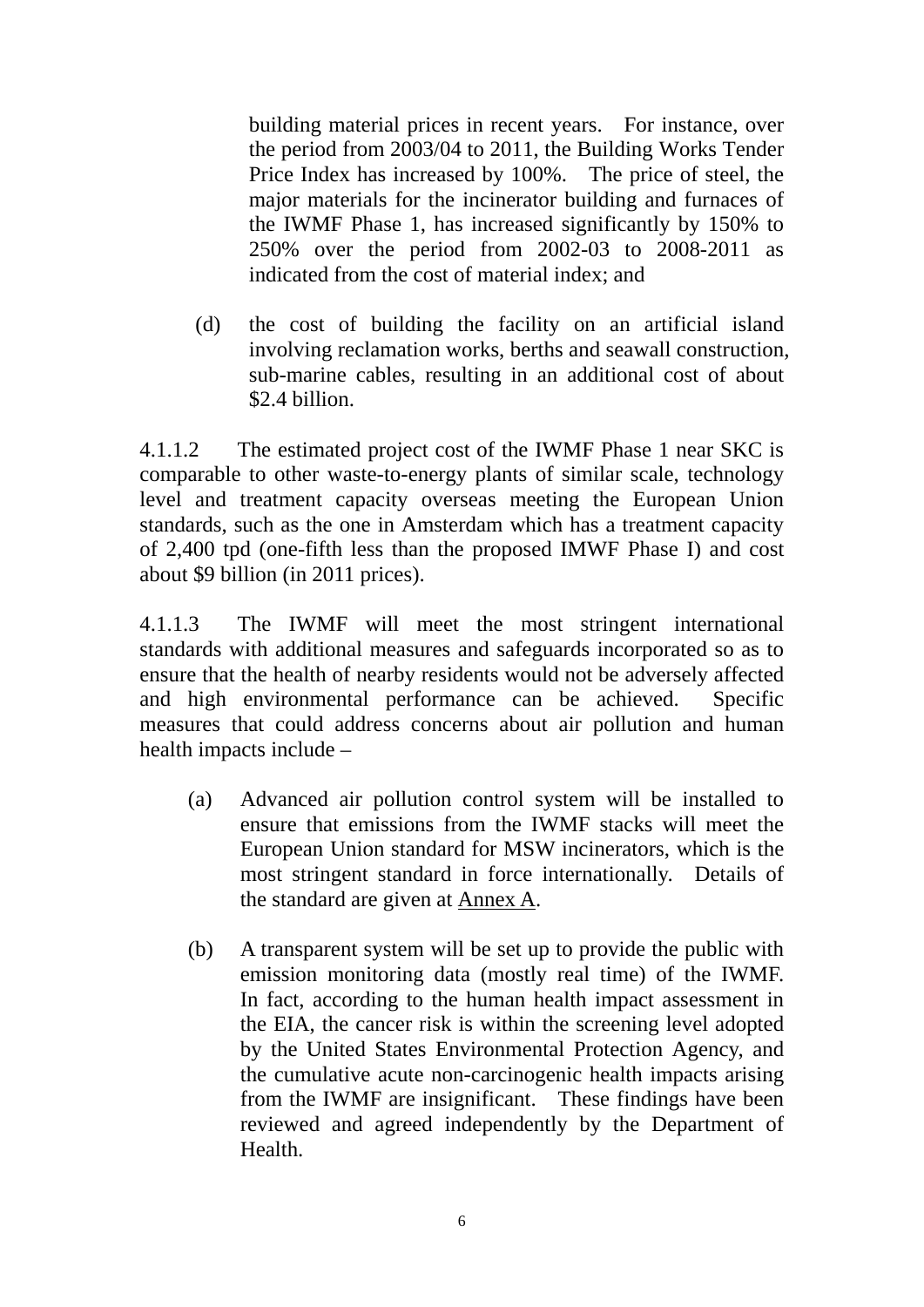building material prices in recent years. For instance, over the period from 2003/04 to 2011, the Building Works Tender Price Index has increased by 100%. The price of steel, the major materials for the incinerator building and furnaces of the IWMF Phase 1, has increased significantly by 150% to 250% over the period from 2002-03 to 2008-2011 as indicated from the cost of material index; and

(d) the cost of building the facility on an artificial island involving reclamation works, berths and seawall construction, sub-marine cables, resulting in an additional cost of about \$2.4 billion.

4.1.1.2 The estimated project cost of the IWMF Phase 1 near SKC is comparable to other waste-to-energy plants of similar scale, technology level and treatment capacity overseas meeting the European Union standards, such as the one in Amsterdam which has a treatment capacity of 2,400 tpd (one-fifth less than the proposed IMWF Phase I) and cost about \$9 billion (in 2011 prices).

4.1.1.3 The IWMF will meet the most stringent international standards with additional measures and safeguards incorporated so as to ensure that the health of nearby residents would not be adversely affected and high environmental performance can be achieved. Specific measures that could address concerns about air pollution and human health impacts include –

- (a) Advanced air pollution control system will be installed to ensure that emissions from the IWMF stacks will meet the European Union standard for MSW incinerators, which is the most stringent standard in force internationally. Details of the standard are given at Annex A.
- from the IWMF are insignificant. These findings have been (b) A transparent system will be set up to provide the public with emission monitoring data (mostly real time) of the IWMF. In fact, according to the human health impact assessment in the EIA, the cancer risk is within the screening level adopted by the United States Environmental Protection Agency, and the cumulative acute non-carcinogenic health impacts arising reviewed and agreed independently by the Department of Health.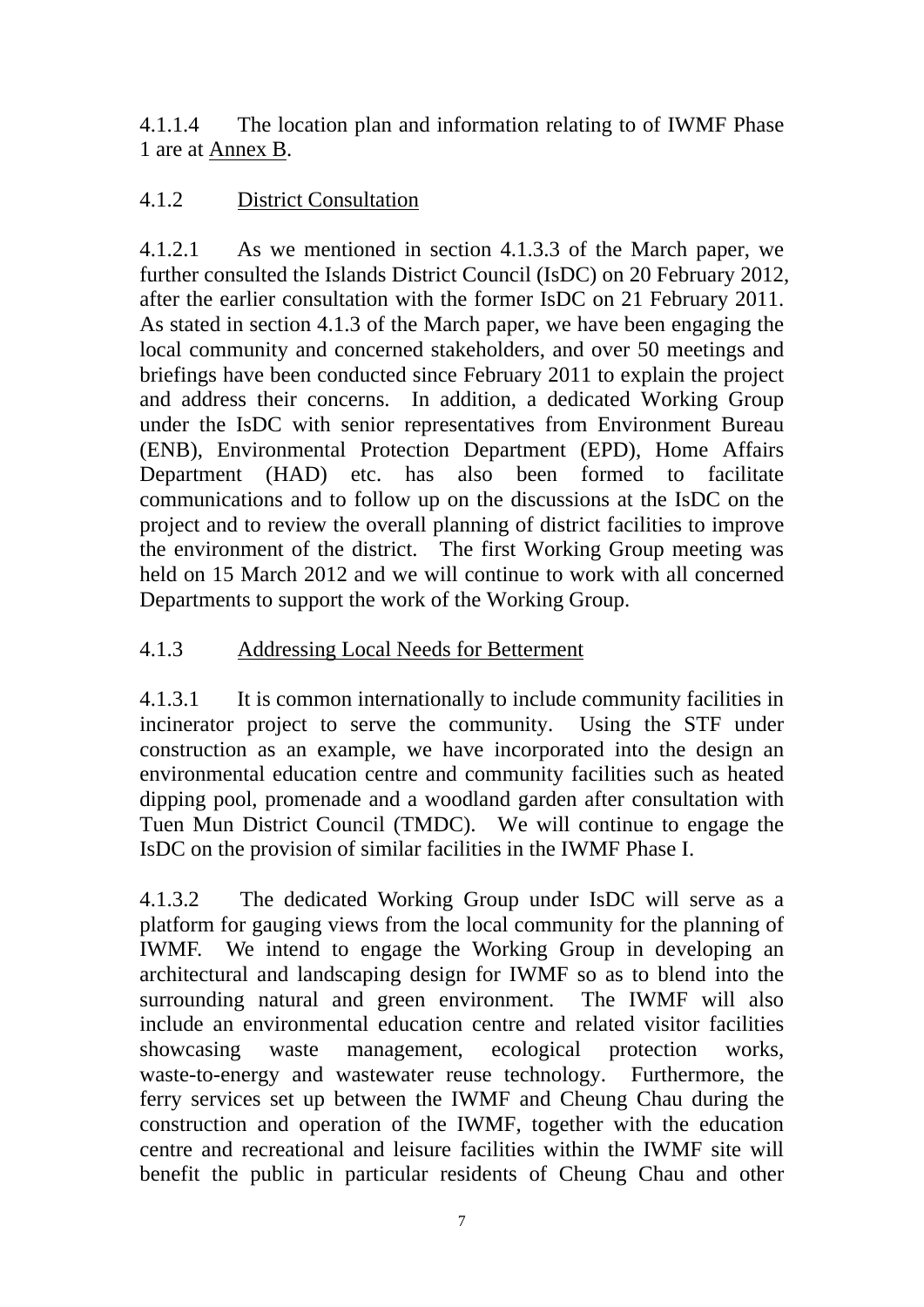4.1.1.4 The location plan and information relating to of IWMF Phase 1 are at Annex B.

### 4.1.2 District Consultation

4.1.2.1 As we mentioned in section 4.1.3.3 of the March paper, we further consulted the Islands District Council (IsDC) on 20 February 2012, after the earlier consultation with the former IsDC on 21 February 2011. As stated in section 4.1.3 of the March paper, we have been engaging the local community and concerned stakeholders, and over 50 meetings and briefings have been conducted since February 2011 to explain the project and address their concerns. In addition, a dedicated Working Group under the IsDC with senior representatives from Environment Bureau (ENB), Environmental Protection Department (EPD), Home Affairs Department (HAD) etc. has also been formed to facilitate communications and to follow up on the discussions at the IsDC on the project and to review the overall planning of district facilities to improve the environment of the district. The first Working Group meeting was held on 15 March 2012 and we will continue to work with all concerned Departments to support the work of the Working Group.

## 4.1.3 Addressing Local Needs for Betterment

4.1.3.1 It is common internationally to include community facilities in incinerator project to serve the community. Using the STF under construction as an example, we have incorporated into the design an environmental education centre and community facilities such as heated dipping pool, promenade and a woodland garden after consultation with Tuen Mun District Council (TMDC). We will continue to engage the IsDC on the provision of similar facilities in the IWMF Phase I.

4.1.3.2 The dedicated Working Group under IsDC will serve as a platform for gauging views from the local community for the planning of IWMF. We intend to engage the Working Group in developing an architectural and landscaping design for IWMF so as to blend into the surrounding natural and green environment. The IWMF will also include an environmental education centre and related visitor facilities showcasing waste management, ecological protection works, waste-to-energy and wastewater reuse technology. Furthermore, the ferry services set up between the IWMF and Cheung Chau during the construction and operation of the IWMF, together with the education centre and recreational and leisure facilities within the IWMF site will benefit the public in particular residents of Cheung Chau and other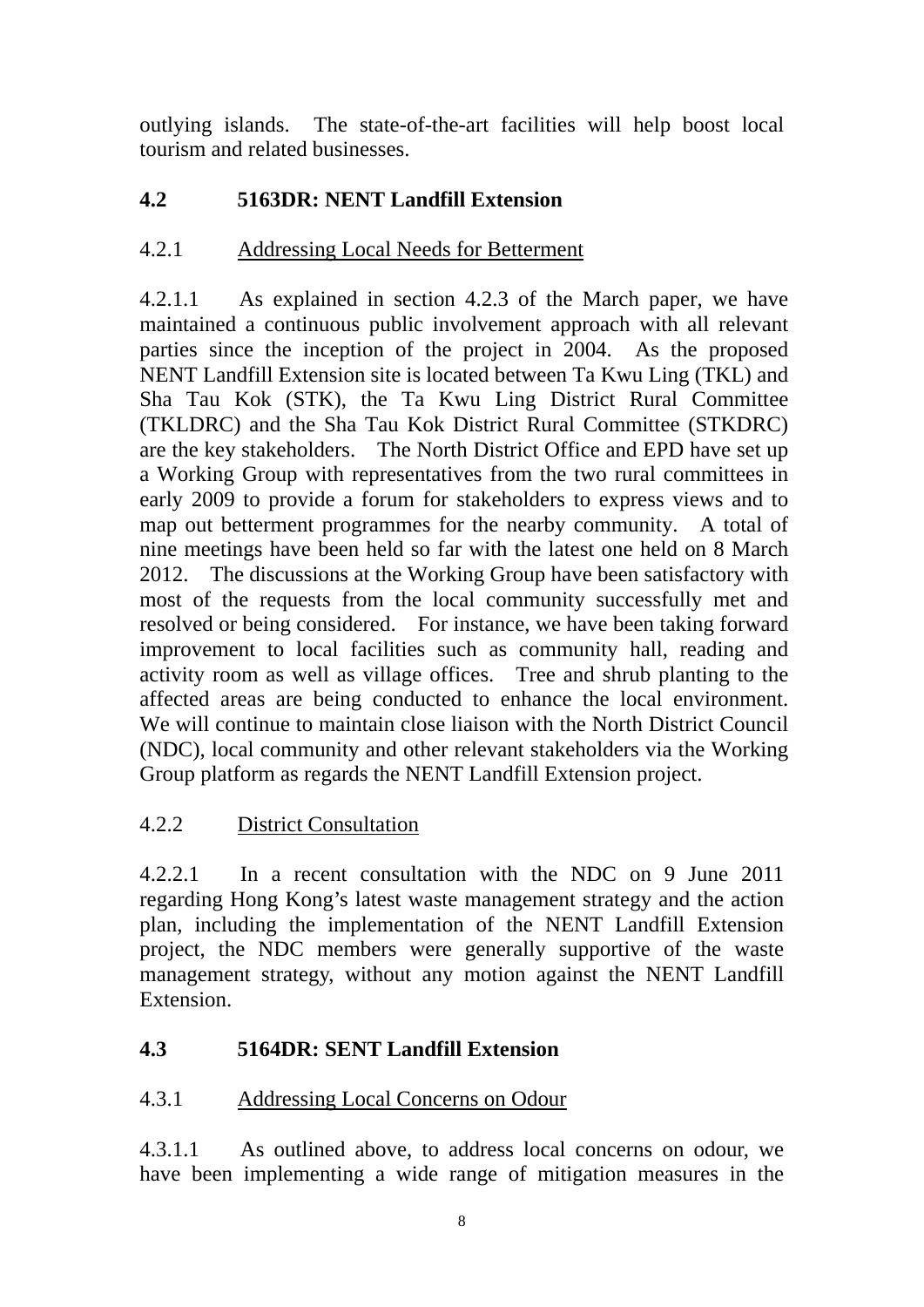outlying islands. The state-of-the-art facilities will help boost local tourism and related businesses.

# **4.2 5163DR: NENT Landfill Extension**

## 4.2.1 Addressing Local Needs for Betterment

4.2.1.1 As explained in section 4.2.3 of the March paper, we have maintained a continuous public involvement approach with all relevant parties since the inception of the project in 2004. As the proposed NENT Landfill Extension site is located between Ta Kwu Ling (TKL) and Sha Tau Kok (STK), the Ta Kwu Ling District Rural Committee (TKLDRC) and the Sha Tau Kok District Rural Committee (STKDRC) are the key stakeholders. The North District Office and EPD have set up a Working Group with representatives from the two rural committees in early 2009 to provide a forum for stakeholders to express views and to map out betterment programmes for the nearby community. A total of nine meetings have been held so far with the latest one held on 8 March 2012. The discussions at the Working Group have been satisfactory with most of the requests from the local community successfully met and resolved or being considered. For instance, we have been taking forward improvement to local facilities such as community hall, reading and activity room as well as village offices. Tree and shrub planting to the affected areas are being conducted to enhance the local environment. We will continue to maintain close liaison with the North District Council (NDC), local community and other relevant stakeholders via the Working Group platform as regards the NENT Landfill Extension project.

# 4.2.2 District Consultation

4.2.2.1 In a recent consultation with the NDC on 9 June 2011 regarding Hong Kong's latest waste management strategy and the action plan, including the implementation of the NENT Landfill Extension project, the NDC members were generally supportive of the waste management strategy, without any motion against the NENT Landfill Extension.

# **4.3 5164DR: SENT Landfill Extension**

### 4.3.1 Addressing Local Concerns on Odour

4.3.1.1 As outlined above, to address local concerns on odour, we have been implementing a wide range of mitigation measures in the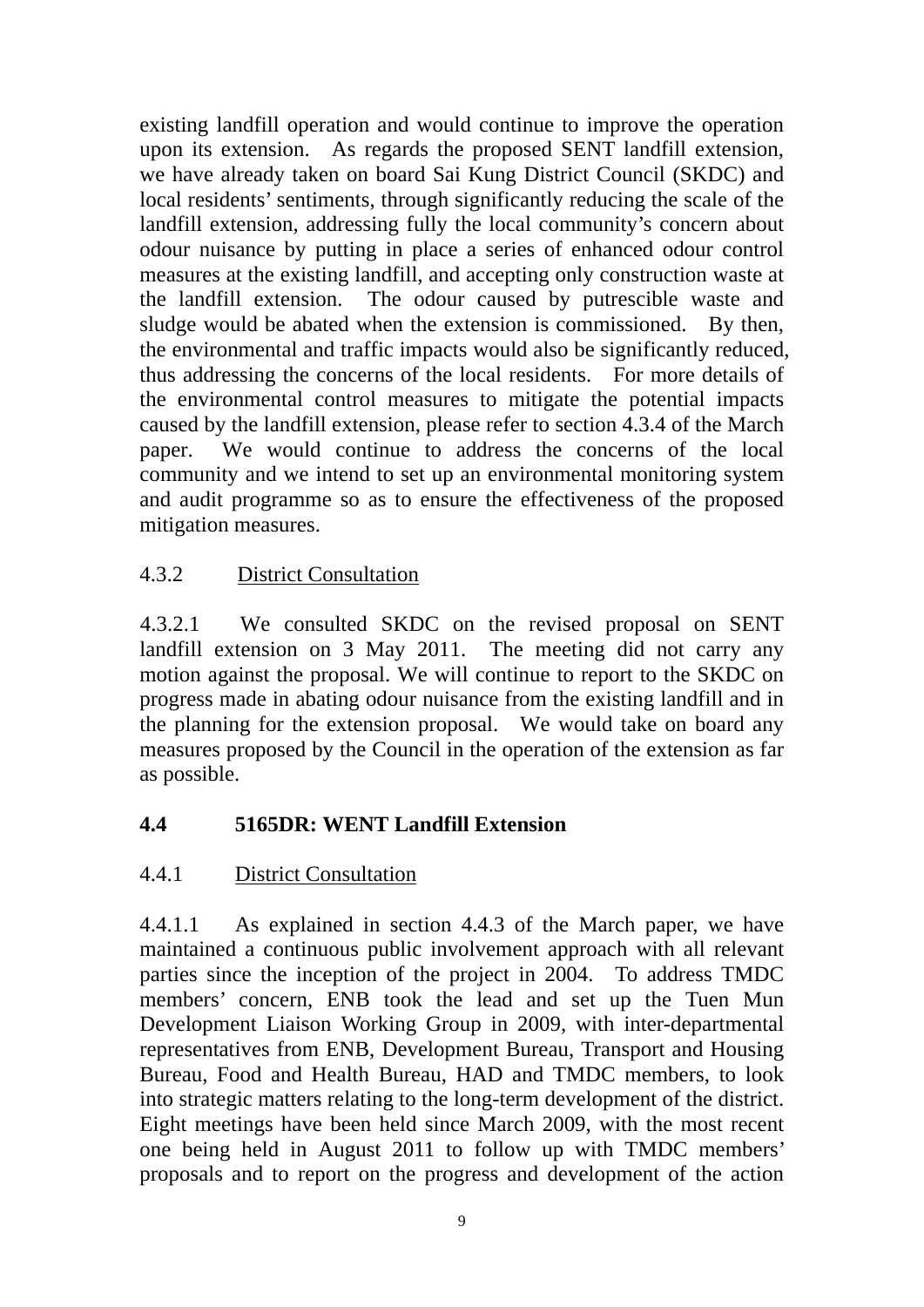existing landfill operation and would continue to improve the operation upon its extension. As regards the proposed SENT landfill extension, we have already taken on board Sai Kung District Council (SKDC) and local residents' sentiments, through significantly reducing the scale of the landfill extension, addressing fully the local community's concern about odour nuisance by putting in place a series of enhanced odour control measures at the existing landfill, and accepting only construction waste at the landfill extension. The odour caused by putrescible waste and sludge would be abated when the extension is commissioned. By then, the environmental and traffic impacts would also be significantly reduced, thus addressing the concerns of the local residents. For more details of the environmental control measures to mitigate the potential impacts caused by the landfill extension, please refer to section 4.3.4 of the March paper. We would continue to address the concerns of the local community and we intend to set up an environmental monitoring system and audit programme so as to ensure the effectiveness of the proposed mitigation measures.

### 4.3.2 District Consultation

4.3.2.1 We consulted SKDC on the revised proposal on SENT landfill extension on 3 May 2011. The meeting did not carry any motion against the proposal. We will continue to report to the SKDC on progress made in abating odour nuisance from the existing landfill and in the planning for the extension proposal. We would take on board any measures proposed by the Council in the operation of the extension as far as possible.

### **4.4 5165DR: WENT Landfill Extension**

### 4.4.1 District Consultation

4.4.1.1 As explained in section 4.4.3 of the March paper, we have maintained a continuous public involvement approach with all relevant parties since the inception of the project in 2004. To address TMDC members' concern, ENB took the lead and set up the Tuen Mun Development Liaison Working Group in 2009, with inter-departmental representatives from ENB, Development Bureau, Transport and Housing Bureau, Food and Health Bureau, HAD and TMDC members, to look into strategic matters relating to the long-term development of the district. Eight meetings have been held since March 2009, with the most recent one being held in August 2011 to follow up with TMDC members' proposals and to report on the progress and development of the action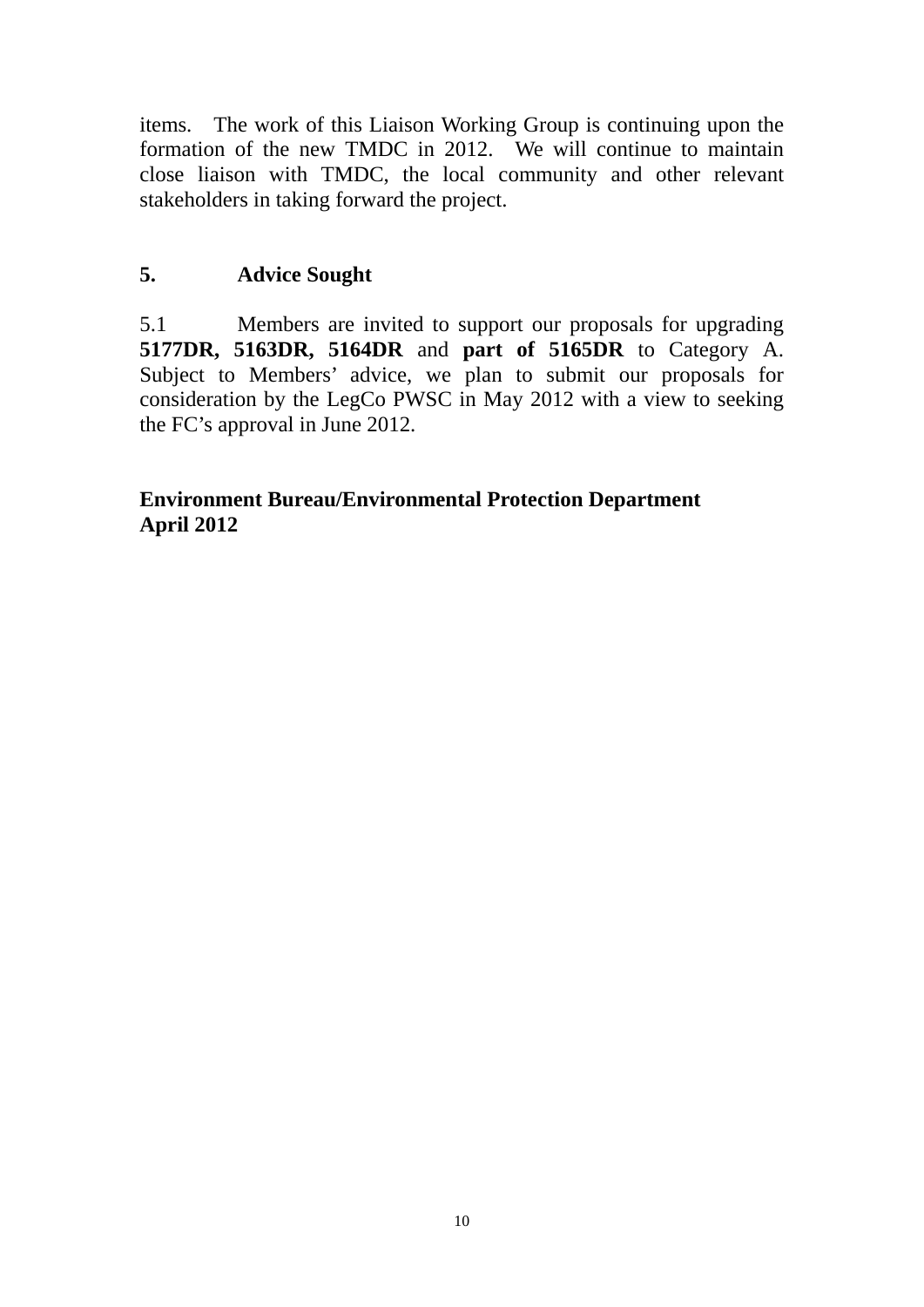items. The work of this Liaison Working Group is continuing upon the formation of the new TMDC in 2012. We will continue to maintain close liaison with TMDC, the local community and other relevant stakeholders in taking forward the project.

## **5. Advice Sought**

5.1 Members are invited to support our proposals for upgrading **5177DR, 5163DR, 5164DR** and **part of 5165DR** to Category A. Subject to Members' advice, we plan to submit our proposals for consideration by the LegCo PWSC in May 2012 with a view to seeking the FC's approval in June 2012.

### **April 2012 Environment Bureau/Environmental Protection Department**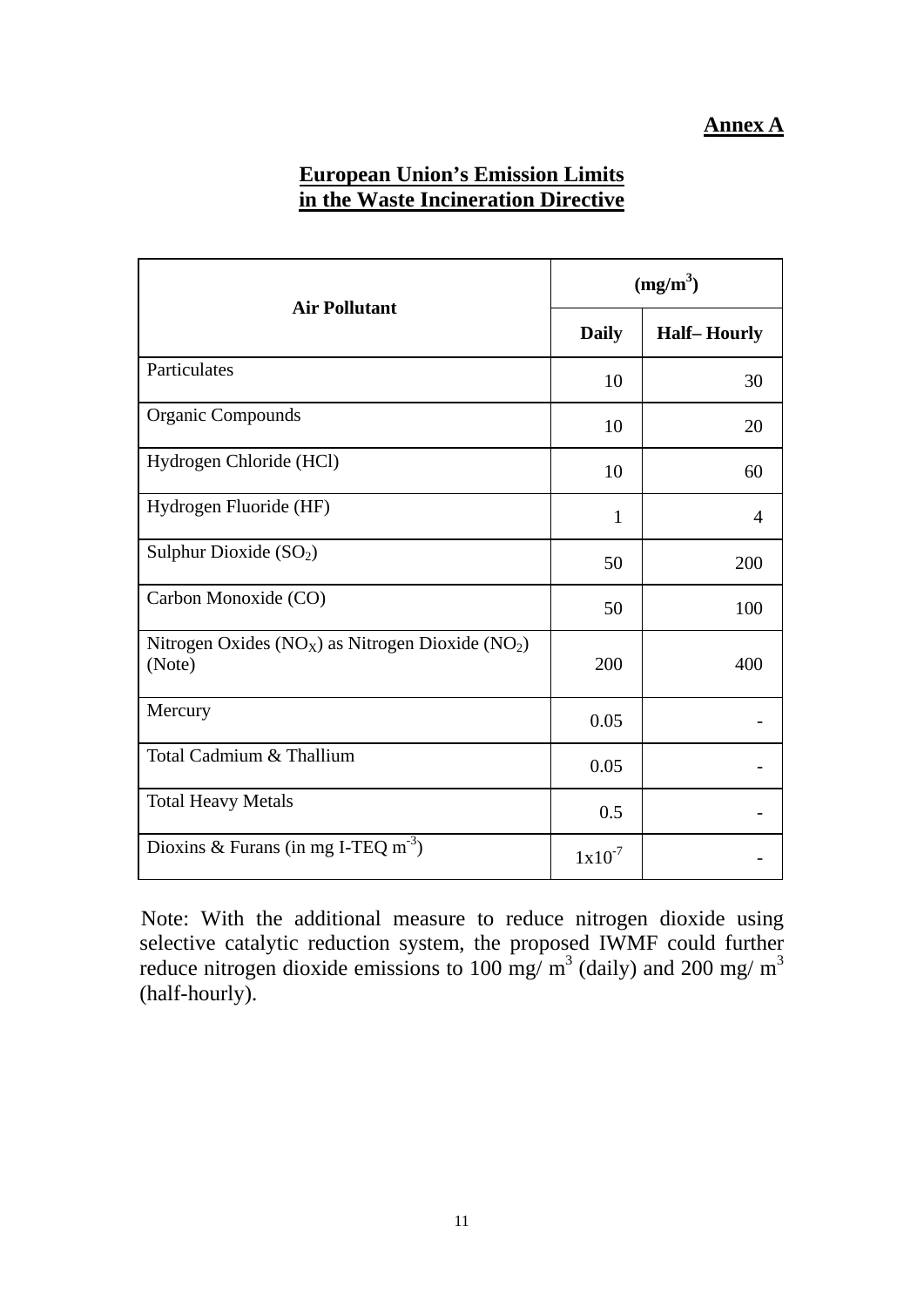### **European Union's Emission Limits in the Waste Incineration Directive**

| <b>Air Pollutant</b>                                              | $(mg/m^3)$   |                    |
|-------------------------------------------------------------------|--------------|--------------------|
|                                                                   | <b>Daily</b> | <b>Half-Hourly</b> |
| Particulates                                                      | 10           | 30                 |
| <b>Organic Compounds</b>                                          | 10           | 20                 |
| Hydrogen Chloride (HCl)                                           | 10           | 60                 |
| Hydrogen Fluoride (HF)                                            | 1            | 4                  |
| Sulphur Dioxide $(SO2)$                                           | 50           | 200                |
| Carbon Monoxide (CO)                                              | 50           | 100                |
| Nitrogen Oxides ( $NOX$ ) as Nitrogen Dioxide ( $NO2$ )<br>(Note) | 200          | 400                |
| Mercury                                                           | 0.05         |                    |
| Total Cadmium & Thallium                                          | 0.05         |                    |
| <b>Total Heavy Metals</b>                                         | 0.5          |                    |
| Dioxins & Furans (in mg I-TEQ m <sup>-3</sup> )                   | $1x10^{-7}$  |                    |

Note: With the additional measure to reduce nitrogen dioxide using selective catalytic reduction system, the proposed IWMF could further reduce nitrogen dioxide emissions to 100 mg/  $\text{m}^3$  (daily) and 200 mg/  $\text{m}^3$ (half-hourly).